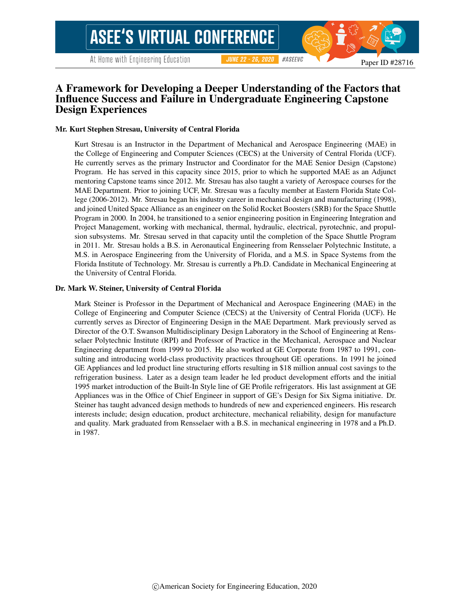# A Framework for Developing a Deeper Understanding of the Factors that Influence Success and Failure in Undergraduate Engineering Capstone Design Experiences

#### Mr. Kurt Stephen Stresau, University of Central Florida

Kurt Stresau is an Instructor in the Department of Mechanical and Aerospace Engineering (MAE) in the College of Engineering and Computer Sciences (CECS) at the University of Central Florida (UCF). He currently serves as the primary Instructor and Coordinator for the MAE Senior Design (Capstone) Program. He has served in this capacity since 2015, prior to which he supported MAE as an Adjunct mentoring Capstone teams since 2012. Mr. Stresau has also taught a variety of Aerospace courses for the MAE Department. Prior to joining UCF, Mr. Stresau was a faculty member at Eastern Florida State College (2006-2012). Mr. Stresau began his industry career in mechanical design and manufacturing (1998), and joined United Space Alliance as an engineer on the Solid Rocket Boosters (SRB) for the Space Shuttle Program in 2000. In 2004, he transitioned to a senior engineering position in Engineering Integration and Project Management, working with mechanical, thermal, hydraulic, electrical, pyrotechnic, and propulsion subsystems. Mr. Stresau served in that capacity until the completion of the Space Shuttle Program in 2011. Mr. Stresau holds a B.S. in Aeronautical Engineering from Rensselaer Polytechnic Institute, a M.S. in Aerospace Engineering from the University of Florida, and a M.S. in Space Systems from the Florida Institute of Technology. Mr. Stresau is currently a Ph.D. Candidate in Mechanical Engineering at the University of Central Florida.

#### Dr. Mark W. Steiner, University of Central Florida

Mark Steiner is Professor in the Department of Mechanical and Aerospace Engineering (MAE) in the College of Engineering and Computer Science (CECS) at the University of Central Florida (UCF). He currently serves as Director of Engineering Design in the MAE Department. Mark previously served as Director of the O.T. Swanson Multidisciplinary Design Laboratory in the School of Engineering at Rensselaer Polytechnic Institute (RPI) and Professor of Practice in the Mechanical, Aerospace and Nuclear Engineering department from 1999 to 2015. He also worked at GE Corporate from 1987 to 1991, consulting and introducing world-class productivity practices throughout GE operations. In 1991 he joined GE Appliances and led product line structuring efforts resulting in \$18 million annual cost savings to the refrigeration business. Later as a design team leader he led product development efforts and the initial 1995 market introduction of the Built-In Style line of GE Profile refrigerators. His last assignment at GE Appliances was in the Office of Chief Engineer in support of GE's Design for Six Sigma initiative. Dr. Steiner has taught advanced design methods to hundreds of new and experienced engineers. His research interests include; design education, product architecture, mechanical reliability, design for manufacture and quality. Mark graduated from Rensselaer with a B.S. in mechanical engineering in 1978 and a Ph.D. in 1987.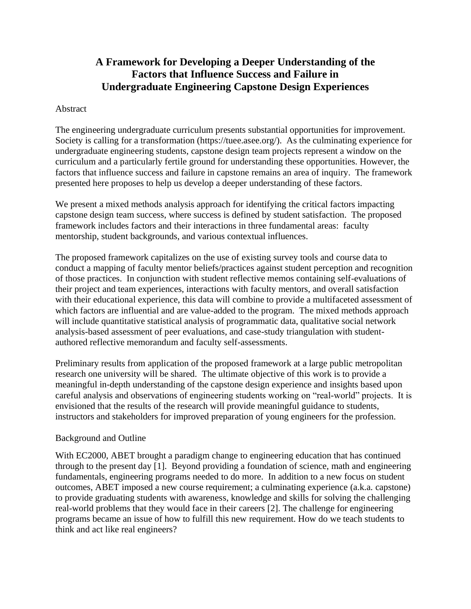# **A Framework for Developing a Deeper Understanding of the Factors that Influence Success and Failure in Undergraduate Engineering Capstone Design Experiences**

### Abstract

The engineering undergraduate curriculum presents substantial opportunities for improvement. Society is calling for a transformation (https://tuee.asee.org/). As the culminating experience for undergraduate engineering students, capstone design team projects represent a window on the curriculum and a particularly fertile ground for understanding these opportunities. However, the factors that influence success and failure in capstone remains an area of inquiry. The framework presented here proposes to help us develop a deeper understanding of these factors.

We present a mixed methods analysis approach for identifying the critical factors impacting capstone design team success, where success is defined by student satisfaction. The proposed framework includes factors and their interactions in three fundamental areas: faculty mentorship, student backgrounds, and various contextual influences.

The proposed framework capitalizes on the use of existing survey tools and course data to conduct a mapping of faculty mentor beliefs/practices against student perception and recognition of those practices. In conjunction with student reflective memos containing self-evaluations of their project and team experiences, interactions with faculty mentors, and overall satisfaction with their educational experience, this data will combine to provide a multifaceted assessment of which factors are influential and are value-added to the program. The mixed methods approach will include quantitative statistical analysis of programmatic data, qualitative social network analysis-based assessment of peer evaluations, and case-study triangulation with studentauthored reflective memorandum and faculty self-assessments.

Preliminary results from application of the proposed framework at a large public metropolitan research one university will be shared. The ultimate objective of this work is to provide a meaningful in-depth understanding of the capstone design experience and insights based upon careful analysis and observations of engineering students working on "real-world" projects. It is envisioned that the results of the research will provide meaningful guidance to students, instructors and stakeholders for improved preparation of young engineers for the profession.

# Background and Outline

With EC2000, ABET brought a paradigm change to engineering education that has continued through to the present day [1]. Beyond providing a foundation of science, math and engineering fundamentals, engineering programs needed to do more. In addition to a new focus on student outcomes, ABET imposed a new course requirement; a culminating experience (a.k.a. capstone) to provide graduating students with awareness, knowledge and skills for solving the challenging real-world problems that they would face in their careers [2]. The challenge for engineering programs became an issue of how to fulfill this new requirement. How do we teach students to think and act like real engineers?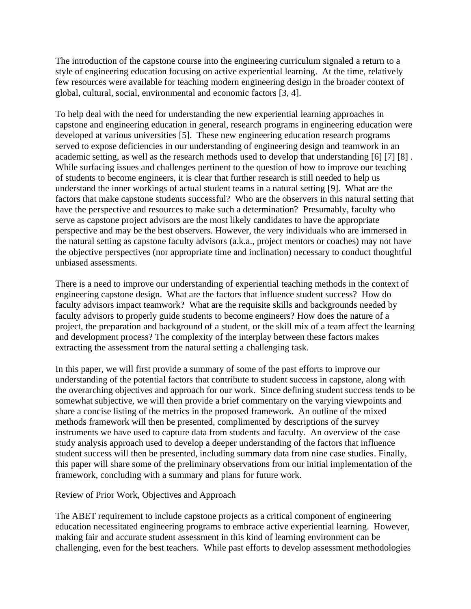The introduction of the capstone course into the engineering curriculum signaled a return to a style of engineering education focusing on active experiential learning. At the time, relatively few resources were available for teaching modern engineering design in the broader context of global, cultural, social, environmental and economic factors [3, 4].

To help deal with the need for understanding the new experiential learning approaches in capstone and engineering education in general, research programs in engineering education were developed at various universities [5]. These new engineering education research programs served to expose deficiencies in our understanding of engineering design and teamwork in an academic setting, as well as the research methods used to develop that understanding [6] [7] [8] . While surfacing issues and challenges pertinent to the question of how to improve our teaching of students to become engineers, it is clear that further research is still needed to help us understand the inner workings of actual student teams in a natural setting [9]. What are the factors that make capstone students successful? Who are the observers in this natural setting that have the perspective and resources to make such a determination? Presumably, faculty who serve as capstone project advisors are the most likely candidates to have the appropriate perspective and may be the best observers. However, the very individuals who are immersed in the natural setting as capstone faculty advisors (a.k.a., project mentors or coaches) may not have the objective perspectives (nor appropriate time and inclination) necessary to conduct thoughtful unbiased assessments.

There is a need to improve our understanding of experiential teaching methods in the context of engineering capstone design. What are the factors that influence student success? How do faculty advisors impact teamwork? What are the requisite skills and backgrounds needed by faculty advisors to properly guide students to become engineers? How does the nature of a project, the preparation and background of a student, or the skill mix of a team affect the learning and development process? The complexity of the interplay between these factors makes extracting the assessment from the natural setting a challenging task.

In this paper, we will first provide a summary of some of the past efforts to improve our understanding of the potential factors that contribute to student success in capstone, along with the overarching objectives and approach for our work. Since defining student success tends to be somewhat subjective, we will then provide a brief commentary on the varying viewpoints and share a concise listing of the metrics in the proposed framework. An outline of the mixed methods framework will then be presented, complimented by descriptions of the survey instruments we have used to capture data from students and faculty. An overview of the case study analysis approach used to develop a deeper understanding of the factors that influence student success will then be presented, including summary data from nine case studies. Finally, this paper will share some of the preliminary observations from our initial implementation of the framework, concluding with a summary and plans for future work.

Review of Prior Work, Objectives and Approach

The ABET requirement to include capstone projects as a critical component of engineering education necessitated engineering programs to embrace active experiential learning. However, making fair and accurate student assessment in this kind of learning environment can be challenging, even for the best teachers. While past efforts to develop assessment methodologies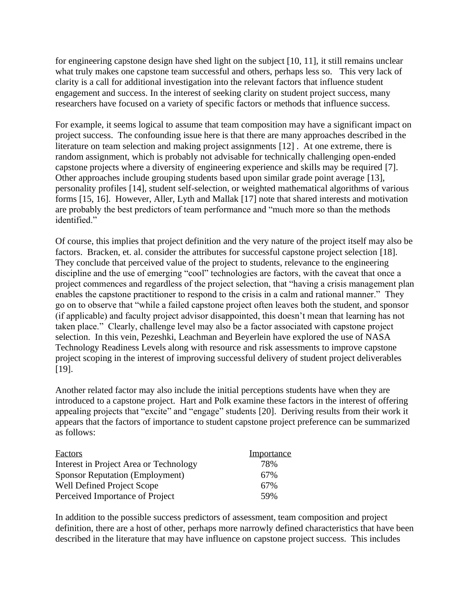for engineering capstone design have shed light on the subject [10, 11], it still remains unclear what truly makes one capstone team successful and others, perhaps less so. This very lack of clarity is a call for additional investigation into the relevant factors that influence student engagement and success. In the interest of seeking clarity on student project success, many researchers have focused on a variety of specific factors or methods that influence success.

For example, it seems logical to assume that team composition may have a significant impact on project success. The confounding issue here is that there are many approaches described in the literature on team selection and making project assignments [12] . At one extreme, there is random assignment, which is probably not advisable for technically challenging open-ended capstone projects where a diversity of engineering experience and skills may be required [7]. Other approaches include grouping students based upon similar grade point average [13], personality profiles [14], student self-selection, or weighted mathematical algorithms of various forms [15, 16]. However, Aller, Lyth and Mallak [17] note that shared interests and motivation are probably the best predictors of team performance and "much more so than the methods identified."

Of course, this implies that project definition and the very nature of the project itself may also be factors. Bracken, et. al. consider the attributes for successful capstone project selection [18]. They conclude that perceived value of the project to students, relevance to the engineering discipline and the use of emerging "cool" technologies are factors, with the caveat that once a project commences and regardless of the project selection, that "having a crisis management plan enables the capstone practitioner to respond to the crisis in a calm and rational manner." They go on to observe that "while a failed capstone project often leaves both the student, and sponsor (if applicable) and faculty project advisor disappointed, this doesn't mean that learning has not taken place." Clearly, challenge level may also be a factor associated with capstone project selection. In this vein, Pezeshki, Leachman and Beyerlein have explored the use of NASA Technology Readiness Levels along with resource and risk assessments to improve capstone project scoping in the interest of improving successful delivery of student project deliverables [19].

Another related factor may also include the initial perceptions students have when they are introduced to a capstone project. Hart and Polk examine these factors in the interest of offering appealing projects that "excite" and "engage" students [20]. Deriving results from their work it appears that the factors of importance to student capstone project preference can be summarized as follows:

| <b>Factors</b>                         | Importance |
|----------------------------------------|------------|
| Interest in Project Area or Technology | 78%        |
| <b>Sponsor Reputation (Employment)</b> | 67%        |
| Well Defined Project Scope             | 67%        |
| Perceived Importance of Project        | 59%        |

In addition to the possible success predictors of assessment, team composition and project definition, there are a host of other, perhaps more narrowly defined characteristics that have been described in the literature that may have influence on capstone project success. This includes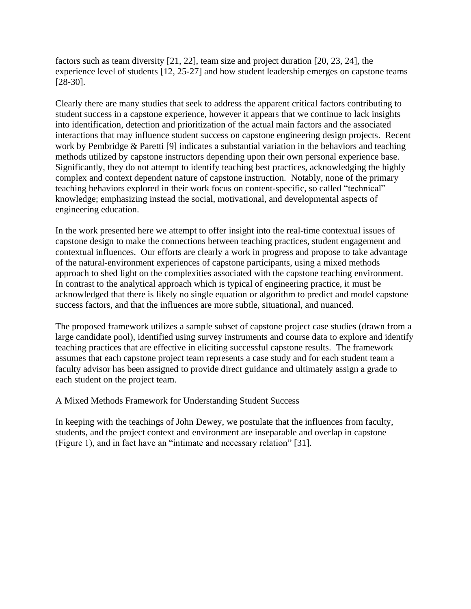factors such as team diversity [21, 22], team size and project duration [20, 23, 24], the experience level of students [12, 25-27] and how student leadership emerges on capstone teams [28-30].

Clearly there are many studies that seek to address the apparent critical factors contributing to student success in a capstone experience, however it appears that we continue to lack insights into identification, detection and prioritization of the actual main factors and the associated interactions that may influence student success on capstone engineering design projects. Recent work by Pembridge & Paretti [9] indicates a substantial variation in the behaviors and teaching methods utilized by capstone instructors depending upon their own personal experience base. Significantly, they do not attempt to identify teaching best practices, acknowledging the highly complex and context dependent nature of capstone instruction. Notably, none of the primary teaching behaviors explored in their work focus on content-specific, so called "technical" knowledge; emphasizing instead the social, motivational, and developmental aspects of engineering education.

In the work presented here we attempt to offer insight into the real-time contextual issues of capstone design to make the connections between teaching practices, student engagement and contextual influences. Our efforts are clearly a work in progress and propose to take advantage of the natural-environment experiences of capstone participants, using a mixed methods approach to shed light on the complexities associated with the capstone teaching environment. In contrast to the analytical approach which is typical of engineering practice, it must be acknowledged that there is likely no single equation or algorithm to predict and model capstone success factors, and that the influences are more subtle, situational, and nuanced.

The proposed framework utilizes a sample subset of capstone project case studies (drawn from a large candidate pool), identified using survey instruments and course data to explore and identify teaching practices that are effective in eliciting successful capstone results. The framework assumes that each capstone project team represents a case study and for each student team a faculty advisor has been assigned to provide direct guidance and ultimately assign a grade to each student on the project team.

A Mixed Methods Framework for Understanding Student Success

In keeping with the teachings of John Dewey, we postulate that the influences from faculty, students, and the project context and environment are inseparable and overlap in capstone (Figure 1), and in fact have an "intimate and necessary relation" [31].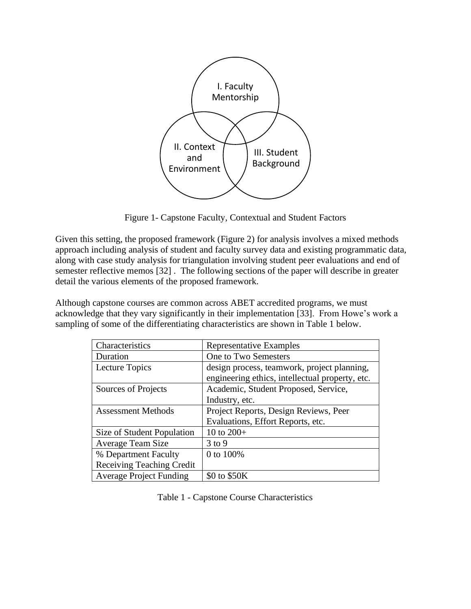

Figure 1- Capstone Faculty, Contextual and Student Factors

Given this setting, the proposed framework (Figure 2) for analysis involves a mixed methods approach including analysis of student and faculty survey data and existing programmatic data, along with case study analysis for triangulation involving student peer evaluations and end of semester reflective memos [32] . The following sections of the paper will describe in greater detail the various elements of the proposed framework.

Although capstone courses are common across ABET accredited programs, we must acknowledge that they vary significantly in their implementation [33]. From Howe's work a sampling of some of the differentiating characteristics are shown in Table 1 below.

| Characteristics                  | <b>Representative Examples</b>                                                                 |
|----------------------------------|------------------------------------------------------------------------------------------------|
| Duration                         | One to Two Semesters                                                                           |
| Lecture Topics                   | design process, teamwork, project planning,<br>engineering ethics, intellectual property, etc. |
| Sources of Projects              | Academic, Student Proposed, Service,                                                           |
|                                  | Industry, etc.                                                                                 |
| <b>Assessment Methods</b>        | Project Reports, Design Reviews, Peer                                                          |
|                                  | Evaluations, Effort Reports, etc.                                                              |
| Size of Student Population       | 10 to $200+$                                                                                   |
| Average Team Size                | $3$ to 9                                                                                       |
| % Department Faculty             | 0 to 100%                                                                                      |
| <b>Receiving Teaching Credit</b> |                                                                                                |
| <b>Average Project Funding</b>   | \$0 to \$50K                                                                                   |

Table 1 - Capstone Course Characteristics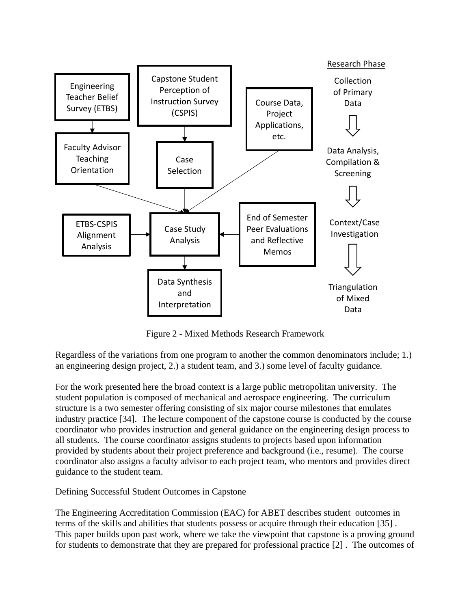

Figure 2 - Mixed Methods Research Framework

Regardless of the variations from one program to another the common denominators include; 1.) an engineering design project, 2.) a student team, and 3.) some level of faculty guidance.

For the work presented here the broad context is a large public metropolitan university. The student population is composed of mechanical and aerospace engineering. The curriculum structure is a two semester offering consisting of six major course milestones that emulates industry practice [34]. The lecture component of the capstone course is conducted by the course coordinator who provides instruction and general guidance on the engineering design process to all students. The course coordinator assigns students to projects based upon information provided by students about their project preference and background (i.e., resume). The course coordinator also assigns a faculty advisor to each project team, who mentors and provides direct guidance to the student team.

Defining Successful Student Outcomes in Capstone

The Engineering Accreditation Commission (EAC) for ABET describes student outcomes in terms of the skills and abilities that students possess or acquire through their education [35] . This paper builds upon past work, where we take the viewpoint that capstone is a proving ground for students to demonstrate that they are prepared for professional practice [2] . The outcomes of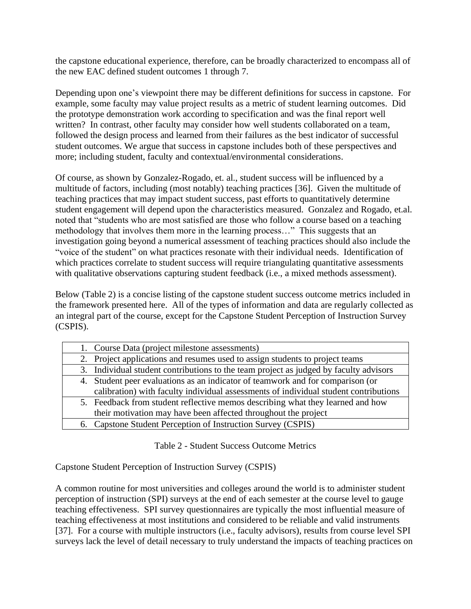the capstone educational experience, therefore, can be broadly characterized to encompass all of the new EAC defined student outcomes 1 through 7.

Depending upon one's viewpoint there may be different definitions for success in capstone. For example, some faculty may value project results as a metric of student learning outcomes. Did the prototype demonstration work according to specification and was the final report well written? In contrast, other faculty may consider how well students collaborated on a team, followed the design process and learned from their failures as the best indicator of successful student outcomes. We argue that success in capstone includes both of these perspectives and more; including student, faculty and contextual/environmental considerations.

Of course, as shown by Gonzalez-Rogado, et. al., student success will be influenced by a multitude of factors, including (most notably) teaching practices [36]. Given the multitude of teaching practices that may impact student success, past efforts to quantitatively determine student engagement will depend upon the characteristics measured. Gonzalez and Rogado, et.al. noted that "students who are most satisfied are those who follow a course based on a teaching methodology that involves them more in the learning process…" This suggests that an investigation going beyond a numerical assessment of teaching practices should also include the "voice of the student" on what practices resonate with their individual needs. Identification of which practices correlate to student success will require triangulating quantitative assessments with qualitative observations capturing student feedback (i.e., a mixed methods assessment).

Below (Table 2) is a concise listing of the capstone student success outcome metrics included in the framework presented here. All of the types of information and data are regularly collected as an integral part of the course, except for the Capstone Student Perception of Instruction Survey (CSPIS).

| 1. Course Data (project milestone assessments)                                        |
|---------------------------------------------------------------------------------------|
| 2. Project applications and resumes used to assign students to project teams          |
| 3. Individual student contributions to the team project as judged by faculty advisors |
| 4. Student peer evaluations as an indicator of teamwork and for comparison (or        |
| calibration) with faculty individual assessments of individual student contributions  |
| 5. Feedback from student reflective memos describing what they learned and how        |
| their motivation may have been affected throughout the project                        |
| 6. Capstone Student Perception of Instruction Survey (CSPIS)                          |

Table 2 - Student Success Outcome Metrics

Capstone Student Perception of Instruction Survey (CSPIS)

A common routine for most universities and colleges around the world is to administer student perception of instruction (SPI) surveys at the end of each semester at the course level to gauge teaching effectiveness. SPI survey questionnaires are typically the most influential measure of teaching effectiveness at most institutions and considered to be reliable and valid instruments [37]. For a course with multiple instructors (i.e., faculty advisors), results from course level SPI surveys lack the level of detail necessary to truly understand the impacts of teaching practices on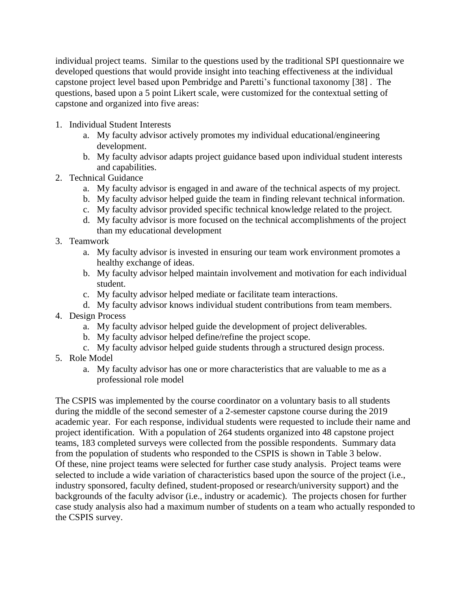individual project teams. Similar to the questions used by the traditional SPI questionnaire we developed questions that would provide insight into teaching effectiveness at the individual capstone project level based upon Pembridge and Paretti's functional taxonomy [38] . The questions, based upon a 5 point Likert scale, were customized for the contextual setting of capstone and organized into five areas:

- 1. Individual Student Interests
	- a. My faculty advisor actively promotes my individual educational/engineering development.
	- b. My faculty advisor adapts project guidance based upon individual student interests and capabilities.
- 2. Technical Guidance
	- a. My faculty advisor is engaged in and aware of the technical aspects of my project.
	- b. My faculty advisor helped guide the team in finding relevant technical information.
	- c. My faculty advisor provided specific technical knowledge related to the project.
	- d. My faculty advisor is more focused on the technical accomplishments of the project than my educational development
- 3. Teamwork
	- a. My faculty advisor is invested in ensuring our team work environment promotes a healthy exchange of ideas.
	- b. My faculty advisor helped maintain involvement and motivation for each individual student.
	- c. My faculty advisor helped mediate or facilitate team interactions.
	- d. My faculty advisor knows individual student contributions from team members.
- 4. Design Process
	- a. My faculty advisor helped guide the development of project deliverables.
	- b. My faculty advisor helped define/refine the project scope.
	- c. My faculty advisor helped guide students through a structured design process.
- 5. Role Model
	- a. My faculty advisor has one or more characteristics that are valuable to me as a professional role model

The CSPIS was implemented by the course coordinator on a voluntary basis to all students during the middle of the second semester of a 2-semester capstone course during the 2019 academic year. For each response, individual students were requested to include their name and project identification. With a population of 264 students organized into 48 capstone project teams, 183 completed surveys were collected from the possible respondents. Summary data from the population of students who responded to the CSPIS is shown in Table 3 below. Of these, nine project teams were selected for further case study analysis. Project teams were selected to include a wide variation of characteristics based upon the source of the project (i.e., industry sponsored, faculty defined, student-proposed or research/university support) and the backgrounds of the faculty advisor (i.e., industry or academic). The projects chosen for further case study analysis also had a maximum number of students on a team who actually responded to the CSPIS survey.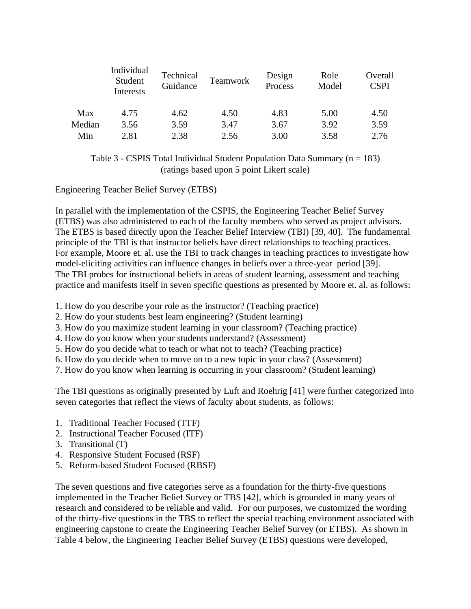|        | Individual<br>Student<br>Interests | Technical<br>Guidance | Teamwork | Design<br>Process | Role<br>Model | Overall<br><b>CSPI</b> |
|--------|------------------------------------|-----------------------|----------|-------------------|---------------|------------------------|
| Max    | 4.75                               | 4.62                  | 4.50     | 4.83              | 5.00          | 4.50                   |
| Median | 3.56                               | 3.59                  | 3.47     | 3.67              | 3.92          | 3.59                   |
| Min    | 2.81                               | 2.38                  | 2.56     | 3.00              | 3.58          | 2.76                   |

Table 3 - CSPIS Total Individual Student Population Data Summary  $(n = 183)$ (ratings based upon 5 point Likert scale)

Engineering Teacher Belief Survey (ETBS)

In parallel with the implementation of the CSPIS, the Engineering Teacher Belief Survey (ETBS) was also administered to each of the faculty members who served as project advisors. The ETBS is based directly upon the Teacher Belief Interview (TBI) [39, 40]. The fundamental principle of the TBI is that instructor beliefs have direct relationships to teaching practices. For example, Moore et. al. use the TBI to track changes in teaching practices to investigate how model-eliciting activities can influence changes in beliefs over a three-year period [39]. The TBI probes for instructional beliefs in areas of student learning, assessment and teaching practice and manifests itself in seven specific questions as presented by Moore et. al. as follows:

- 1. How do you describe your role as the instructor? (Teaching practice)
- 2. How do your students best learn engineering? (Student learning)
- 3. How do you maximize student learning in your classroom? (Teaching practice)
- 4. How do you know when your students understand? (Assessment)
- 5. How do you decide what to teach or what not to teach? (Teaching practice)
- 6. How do you decide when to move on to a new topic in your class? (Assessment)
- 7. How do you know when learning is occurring in your classroom? (Student learning)

The TBI questions as originally presented by Luft and Roehrig [41] were further categorized into seven categories that reflect the views of faculty about students, as follows:

- 1. Traditional Teacher Focused (TTF)
- 2. Instructional Teacher Focused (ITF)
- 3. Transitional (T)
- 4. Responsive Student Focused (RSF)
- 5. Reform-based Student Focused (RBSF)

The seven questions and five categories serve as a foundation for the thirty-five questions implemented in the Teacher Belief Survey or TBS [42], which is grounded in many years of research and considered to be reliable and valid. For our purposes, we customized the wording of the thirty-five questions in the TBS to reflect the special teaching environment associated with engineering capstone to create the Engineering Teacher Belief Survey (or ETBS). As shown in Table 4 below, the Engineering Teacher Belief Survey (ETBS) questions were developed,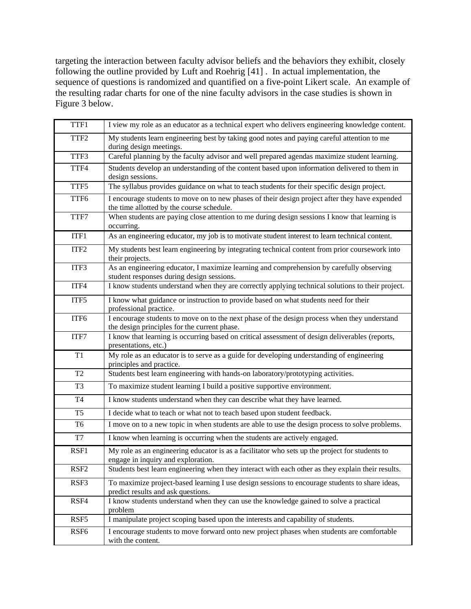targeting the interaction between faculty advisor beliefs and the behaviors they exhibit, closely following the outline provided by Luft and Roehrig [41] . In actual implementation, the sequence of questions is randomized and quantified on a five-point Likert scale. An example of the resulting radar charts for one of the nine faculty advisors in the case studies is shown in Figure 3 below.

| TTF1             | I view my role as an educator as a technical expert who delivers engineering knowledge content.                                              |
|------------------|----------------------------------------------------------------------------------------------------------------------------------------------|
| TTF <sub>2</sub> | My students learn engineering best by taking good notes and paying careful attention to me<br>during design meetings.                        |
| TTF3             | Careful planning by the faculty advisor and well prepared agendas maximize student learning.                                                 |
| TTF4             | Students develop an understanding of the content based upon information delivered to them in<br>design sessions.                             |
| TTF5             | The syllabus provides guidance on what to teach students for their specific design project.                                                  |
| TTF6             | I encourage students to move on to new phases of their design project after they have expended<br>the time allotted by the course schedule.  |
| TTF7             | When students are paying close attention to me during design sessions I know that learning is<br>occurring.                                  |
| ITF1             | As an engineering educator, my job is to motivate student interest to learn technical content.                                               |
| ITF <sub>2</sub> | My students best learn engineering by integrating technical content from prior coursework into<br>their projects.                            |
| ITF3             | As an engineering educator, I maximize learning and comprehension by carefully observing<br>student responses during design sessions.        |
| ITF4             | I know students understand when they are correctly applying technical solutions to their project.                                            |
| ITF5             | I know what guidance or instruction to provide based on what students need for their<br>professional practice.                               |
| ITF6             | I encourage students to move on to the next phase of the design process when they understand<br>the design principles for the current phase. |
| ITF7             | I know that learning is occurring based on critical assessment of design deliverables (reports,<br>presentations, etc.)                      |
| T1               | My role as an educator is to serve as a guide for developing understanding of engineering<br>principles and practice.                        |
| T2               | Students best learn engineering with hands-on laboratory/prototyping activities.                                                             |
| T <sub>3</sub>   | To maximize student learning I build a positive supportive environment.                                                                      |
| <b>T4</b>        | I know students understand when they can describe what they have learned.                                                                    |
| T <sub>5</sub>   | I decide what to teach or what not to teach based upon student feedback.                                                                     |
| T <sub>6</sub>   | I move on to a new topic in when students are able to use the design process to solve problems.                                              |
| T7               | I know when learning is occurring when the students are actively engaged.                                                                    |
| RSF1             | My role as an engineering educator is as a facilitator who sets up the project for students to<br>engage in inquiry and exploration.         |
| RSF <sub>2</sub> | Students best learn engineering when they interact with each other as they explain their results.                                            |
| RSF3             | To maximize project-based learning I use design sessions to encourage students to share ideas,<br>predict results and ask questions.         |
| RSF4             | I know students understand when they can use the knowledge gained to solve a practical<br>problem                                            |
| RSF5             | I manipulate project scoping based upon the interests and capability of students.                                                            |
| RSF <sub>6</sub> | I encourage students to move forward onto new project phases when students are comfortable<br>with the content.                              |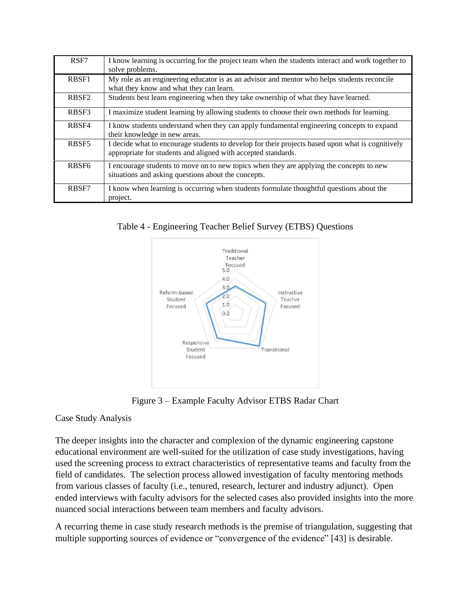| RSF7              | I know learning is occurring for the project team when the students interact and work together to<br>solve problems.                                              |
|-------------------|-------------------------------------------------------------------------------------------------------------------------------------------------------------------|
| RBSF1             | My role as an engineering educator is as an advisor and mentor who helps students reconcile<br>what they know and what they can learn.                            |
| RBSF <sub>2</sub> | Students best learn engineering when they take ownership of what they have learned.                                                                               |
| RBSF3             | I maximize student learning by allowing students to choose their own methods for learning.                                                                        |
| RBSF4             | I know students understand when they can apply fundamental engineering concepts to expand<br>their knowledge in new areas.                                        |
| RBSF5             | I decide what to encourage students to develop for their projects based upon what is cognitively<br>appropriate for students and aligned with accepted standards. |
| RBSF <sub>6</sub> | I encourage students to move on to new topics when they are applying the concepts to new<br>situations and asking questions about the concepts.                   |
| RBSF7             | I know when learning is occurring when students formulate thoughtful questions about the<br>project.                                                              |

Table 4 - Engineering Teacher Belief Survey (ETBS) Questions



Figure 3 – Example Faculty Advisor ETBS Radar Chart

# Case Study Analysis

The deeper insights into the character and complexion of the dynamic engineering capstone educational environment are well-suited for the utilization of case study investigations, having used the screening process to extract characteristics of representative teams and faculty from the field of candidates. The selection process allowed investigation of faculty mentoring methods from various classes of faculty (i.e., tenured, research, lecturer and industry adjunct). Open ended interviews with faculty advisors for the selected cases also provided insights into the more nuanced social interactions between team members and faculty advisors.

A recurring theme in case study research methods is the premise of triangulation, suggesting that multiple supporting sources of evidence or "convergence of the evidence" [43] is desirable.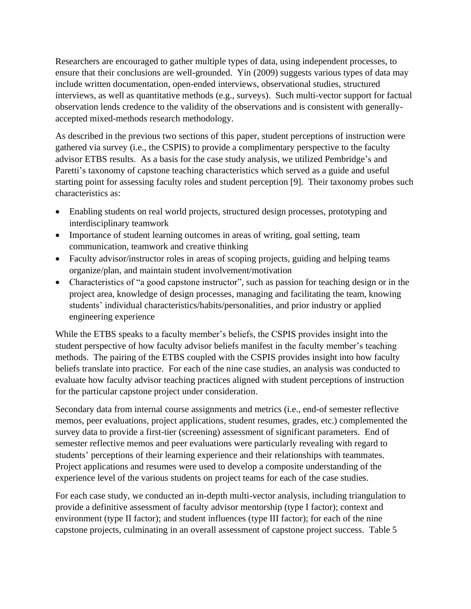Researchers are encouraged to gather multiple types of data, using independent processes, to ensure that their conclusions are well-grounded. Yin (2009) suggests various types of data may include written documentation, open-ended interviews, observational studies, structured interviews, as well as quantitative methods (e.g., surveys). Such multi-vector support for factual observation lends credence to the validity of the observations and is consistent with generallyaccepted mixed-methods research methodology.

As described in the previous two sections of this paper, student perceptions of instruction were gathered via survey (i.e., the CSPIS) to provide a complimentary perspective to the faculty advisor ETBS results. As a basis for the case study analysis, we utilized Pembridge's and Paretti's taxonomy of capstone teaching characteristics which served as a guide and useful starting point for assessing faculty roles and student perception [9]. Their taxonomy probes such characteristics as:

- Enabling students on real world projects, structured design processes, prototyping and interdisciplinary teamwork
- Importance of student learning outcomes in areas of writing, goal setting, team communication, teamwork and creative thinking
- Faculty advisor/instructor roles in areas of scoping projects, guiding and helping teams organize/plan, and maintain student involvement/motivation
- Characteristics of "a good capstone instructor", such as passion for teaching design or in the project area, knowledge of design processes, managing and facilitating the team, knowing students' individual characteristics/habits/personalities, and prior industry or applied engineering experience

While the ETBS speaks to a faculty member's beliefs, the CSPIS provides insight into the student perspective of how faculty advisor beliefs manifest in the faculty member's teaching methods. The pairing of the ETBS coupled with the CSPIS provides insight into how faculty beliefs translate into practice. For each of the nine case studies, an analysis was conducted to evaluate how faculty advisor teaching practices aligned with student perceptions of instruction for the particular capstone project under consideration.

Secondary data from internal course assignments and metrics (i.e., end-of semester reflective memos, peer evaluations, project applications, student resumes, grades, etc.) complemented the survey data to provide a first-tier (screening) assessment of significant parameters. End of semester reflective memos and peer evaluations were particularly revealing with regard to students' perceptions of their learning experience and their relationships with teammates. Project applications and resumes were used to develop a composite understanding of the experience level of the various students on project teams for each of the case studies.

For each case study, we conducted an in-depth multi-vector analysis, including triangulation to provide a definitive assessment of faculty advisor mentorship (type I factor); context and environment (type II factor); and student influences (type III factor); for each of the nine capstone projects, culminating in an overall assessment of capstone project success. Table 5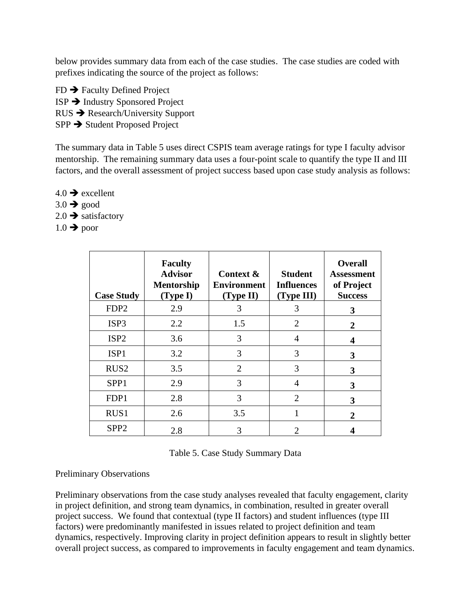below provides summary data from each of the case studies. The case studies are coded with prefixes indicating the source of the project as follows:

FD ➔ Faculty Defined Project ISP ➔ Industry Sponsored Project RUS ➔ Research/University Support SPP ➔ Student Proposed Project

The summary data in Table 5 uses direct CSPIS team average ratings for type I faculty advisor mentorship. The remaining summary data uses a four-point scale to quantify the type II and III factors, and the overall assessment of project success based upon case study analysis as follows:

- $4.0 \rightarrow$  excellent
- $3.0 \rightarrow \text{good}$
- $2.0 \rightarrow$  satisfactory
- $1.0 \rightarrow$  poor

| <b>Case Study</b> | <b>Faculty</b><br><b>Advisor</b><br><b>Mentorship</b><br>(Type I) | Context &<br><b>Environment</b><br>(Type II) | <b>Student</b><br><b>Influences</b><br>(Type III) | <b>Overall</b><br><b>Assessment</b><br>of Project<br><b>Success</b> |
|-------------------|-------------------------------------------------------------------|----------------------------------------------|---------------------------------------------------|---------------------------------------------------------------------|
| FDP <sub>2</sub>  | 2.9                                                               | 3                                            | 3                                                 | 3                                                                   |
| ISP <sub>3</sub>  | 2.2                                                               | 1.5                                          | 2                                                 | 2                                                                   |
| ISP <sub>2</sub>  | 3.6                                                               | 3                                            | 4                                                 | 4                                                                   |
| ISP1              | 3.2                                                               | 3                                            | 3                                                 | 3                                                                   |
| RUS <sub>2</sub>  | 3.5                                                               | $\overline{2}$                               | $\mathcal{R}$                                     | 3                                                                   |
| SPP <sub>1</sub>  | 2.9                                                               | 3                                            | 4                                                 | 3                                                                   |
| FDP1              | 2.8                                                               | 3                                            | 2                                                 | 3                                                                   |
| RUS1              | 2.6                                                               | 3.5                                          |                                                   | 2                                                                   |
| SPP <sub>2</sub>  | 2.8                                                               | 3                                            |                                                   |                                                                     |

### Preliminary Observations

Preliminary observations from the case study analyses revealed that faculty engagement, clarity in project definition, and strong team dynamics, in combination, resulted in greater overall project success. We found that contextual (type II factors) and student influences (type III factors) were predominantly manifested in issues related to project definition and team dynamics, respectively. Improving clarity in project definition appears to result in slightly better overall project success, as compared to improvements in faculty engagement and team dynamics.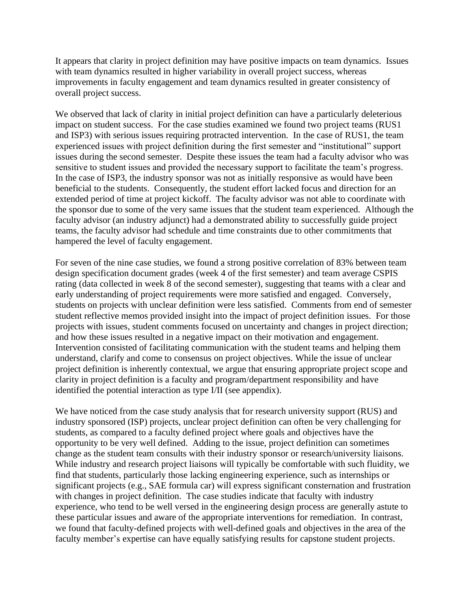It appears that clarity in project definition may have positive impacts on team dynamics. Issues with team dynamics resulted in higher variability in overall project success, whereas improvements in faculty engagement and team dynamics resulted in greater consistency of overall project success.

We observed that lack of clarity in initial project definition can have a particularly deleterious impact on student success. For the case studies examined we found two project teams (RUS1 and ISP3) with serious issues requiring protracted intervention. In the case of RUS1, the team experienced issues with project definition during the first semester and "institutional" support issues during the second semester. Despite these issues the team had a faculty advisor who was sensitive to student issues and provided the necessary support to facilitate the team's progress. In the case of ISP3, the industry sponsor was not as initially responsive as would have been beneficial to the students. Consequently, the student effort lacked focus and direction for an extended period of time at project kickoff. The faculty advisor was not able to coordinate with the sponsor due to some of the very same issues that the student team experienced. Although the faculty advisor (an industry adjunct) had a demonstrated ability to successfully guide project teams, the faculty advisor had schedule and time constraints due to other commitments that hampered the level of faculty engagement.

For seven of the nine case studies, we found a strong positive correlation of 83% between team design specification document grades (week 4 of the first semester) and team average CSPIS rating (data collected in week 8 of the second semester), suggesting that teams with a clear and early understanding of project requirements were more satisfied and engaged. Conversely, students on projects with unclear definition were less satisfied. Comments from end of semester student reflective memos provided insight into the impact of project definition issues. For those projects with issues, student comments focused on uncertainty and changes in project direction; and how these issues resulted in a negative impact on their motivation and engagement. Intervention consisted of facilitating communication with the student teams and helping them understand, clarify and come to consensus on project objectives. While the issue of unclear project definition is inherently contextual, we argue that ensuring appropriate project scope and clarity in project definition is a faculty and program/department responsibility and have identified the potential interaction as type I/II (see appendix).

We have noticed from the case study analysis that for research university support (RUS) and industry sponsored (ISP) projects, unclear project definition can often be very challenging for students, as compared to a faculty defined project where goals and objectives have the opportunity to be very well defined. Adding to the issue, project definition can sometimes change as the student team consults with their industry sponsor or research/university liaisons. While industry and research project liaisons will typically be comfortable with such fluidity, we find that students, particularly those lacking engineering experience, such as internships or significant projects (e.g., SAE formula car) will express significant consternation and frustration with changes in project definition. The case studies indicate that faculty with industry experience, who tend to be well versed in the engineering design process are generally astute to these particular issues and aware of the appropriate interventions for remediation. In contrast, we found that faculty-defined projects with well-defined goals and objectives in the area of the faculty member's expertise can have equally satisfying results for capstone student projects.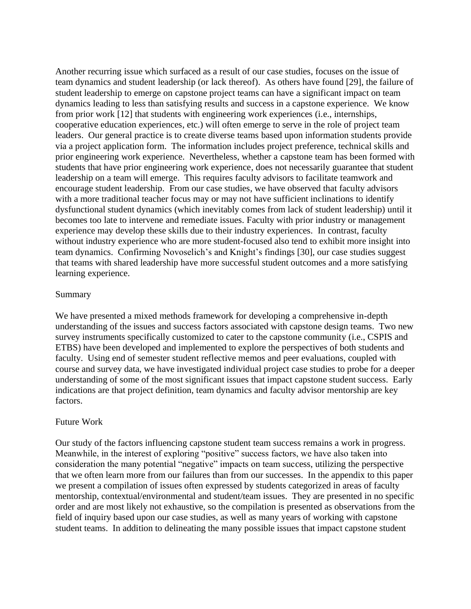Another recurring issue which surfaced as a result of our case studies, focuses on the issue of team dynamics and student leadership (or lack thereof). As others have found [29], the failure of student leadership to emerge on capstone project teams can have a significant impact on team dynamics leading to less than satisfying results and success in a capstone experience. We know from prior work [12] that students with engineering work experiences (i.e., internships, cooperative education experiences, etc.) will often emerge to serve in the role of project team leaders. Our general practice is to create diverse teams based upon information students provide via a project application form. The information includes project preference, technical skills and prior engineering work experience. Nevertheless, whether a capstone team has been formed with students that have prior engineering work experience, does not necessarily guarantee that student leadership on a team will emerge. This requires faculty advisors to facilitate teamwork and encourage student leadership. From our case studies, we have observed that faculty advisors with a more traditional teacher focus may or may not have sufficient inclinations to identify dysfunctional student dynamics (which inevitably comes from lack of student leadership) until it becomes too late to intervene and remediate issues. Faculty with prior industry or management experience may develop these skills due to their industry experiences. In contrast, faculty without industry experience who are more student-focused also tend to exhibit more insight into team dynamics. Confirming Novoselich's and Knight's findings [30], our case studies suggest that teams with shared leadership have more successful student outcomes and a more satisfying learning experience.

### Summary

We have presented a mixed methods framework for developing a comprehensive in-depth understanding of the issues and success factors associated with capstone design teams. Two new survey instruments specifically customized to cater to the capstone community (i.e., CSPIS and ETBS) have been developed and implemented to explore the perspectives of both students and faculty. Using end of semester student reflective memos and peer evaluations, coupled with course and survey data, we have investigated individual project case studies to probe for a deeper understanding of some of the most significant issues that impact capstone student success. Early indications are that project definition, team dynamics and faculty advisor mentorship are key factors.

### Future Work

Our study of the factors influencing capstone student team success remains a work in progress. Meanwhile, in the interest of exploring "positive" success factors, we have also taken into consideration the many potential "negative" impacts on team success, utilizing the perspective that we often learn more from our failures than from our successes. In the appendix to this paper we present a compilation of issues often expressed by students categorized in areas of faculty mentorship, contextual/environmental and student/team issues. They are presented in no specific order and are most likely not exhaustive, so the compilation is presented as observations from the field of inquiry based upon our case studies, as well as many years of working with capstone student teams. In addition to delineating the many possible issues that impact capstone student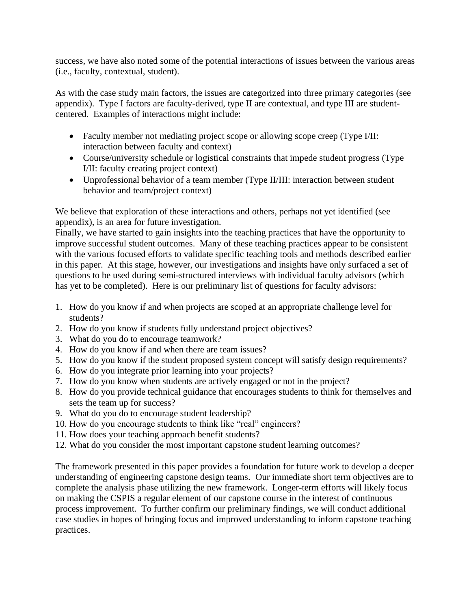success, we have also noted some of the potential interactions of issues between the various areas (i.e., faculty, contextual, student).

As with the case study main factors, the issues are categorized into three primary categories (see appendix). Type I factors are faculty-derived, type II are contextual, and type III are studentcentered. Examples of interactions might include:

- Faculty member not mediating project scope or allowing scope creep (Type I/II: interaction between faculty and context)
- Course/university schedule or logistical constraints that impede student progress (Type) I/II: faculty creating project context)
- Unprofessional behavior of a team member (Type II/III: interaction between student behavior and team/project context)

We believe that exploration of these interactions and others, perhaps not yet identified (see appendix), is an area for future investigation.

Finally, we have started to gain insights into the teaching practices that have the opportunity to improve successful student outcomes. Many of these teaching practices appear to be consistent with the various focused efforts to validate specific teaching tools and methods described earlier in this paper. At this stage, however, our investigations and insights have only surfaced a set of questions to be used during semi-structured interviews with individual faculty advisors (which has yet to be completed). Here is our preliminary list of questions for faculty advisors:

- 1. How do you know if and when projects are scoped at an appropriate challenge level for students?
- 2. How do you know if students fully understand project objectives?
- 3. What do you do to encourage teamwork?
- 4. How do you know if and when there are team issues?
- 5. How do you know if the student proposed system concept will satisfy design requirements?
- 6. How do you integrate prior learning into your projects?
- 7. How do you know when students are actively engaged or not in the project?
- 8. How do you provide technical guidance that encourages students to think for themselves and sets the team up for success?
- 9. What do you do to encourage student leadership?
- 10. How do you encourage students to think like "real" engineers?
- 11. How does your teaching approach benefit students?
- 12. What do you consider the most important capstone student learning outcomes?

The framework presented in this paper provides a foundation for future work to develop a deeper understanding of engineering capstone design teams. Our immediate short term objectives are to complete the analysis phase utilizing the new framework. Longer-term efforts will likely focus on making the CSPIS a regular element of our capstone course in the interest of continuous process improvement. To further confirm our preliminary findings, we will conduct additional case studies in hopes of bringing focus and improved understanding to inform capstone teaching practices.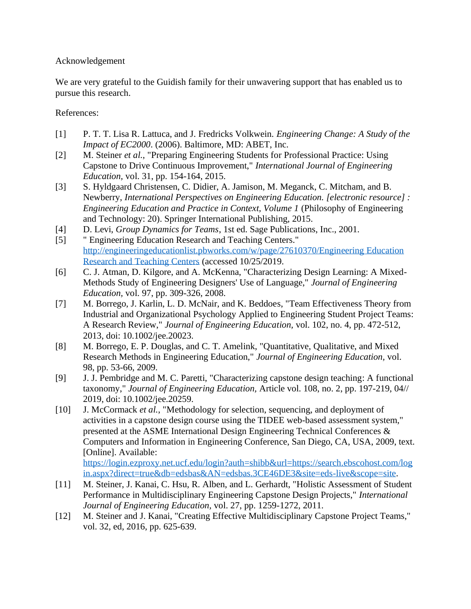## Acknowledgement

We are very grateful to the Guidish family for their unwavering support that has enabled us to pursue this research.

References:

- [1] P. T. T. Lisa R. Lattuca, and J. Fredricks Volkwein. *Engineering Change: A Study of the Impact of EC2000*. (2006). Baltimore, MD: ABET, Inc.
- [2] M. Steiner *et al.*, "Preparing Engineering Students for Professional Practice: Using Capstone to Drive Continuous Improvement," *International Journal of Engineering Education,* vol. 31, pp. 154-164, 2015.
- [3] S. Hyldgaard Christensen, C. Didier, A. Jamison, M. Meganck, C. Mitcham, and B. Newberry, *International Perspectives on Engineering Education. [electronic resource] : Engineering Education and Practice in Context, Volume 1* (Philosophy of Engineering and Technology: 20). Springer International Publishing, 2015.
- [4] D. Levi, *Group Dynamics for Teams*, 1st ed. Sage Publications, Inc., 2001.
- [5] " Engineering Education Research and Teaching Centers." [http://engineeringeducationlist.pbworks.com/w/page/27610370/Engineering Education](http://engineeringeducationlist.pbworks.com/w/page/27610370/Engineering%20Education%20Research%20and%20Teaching%20Centers)  [Research and Teaching Centers](http://engineeringeducationlist.pbworks.com/w/page/27610370/Engineering%20Education%20Research%20and%20Teaching%20Centers) (accessed 10/25/2019.
- [6] C. J. Atman, D. Kilgore, and A. McKenna, "Characterizing Design Learning: A Mixed-Methods Study of Engineering Designers' Use of Language," *Journal of Engineering Education,* vol. 97, pp. 309-326, 2008.
- [7] M. Borrego, J. Karlin, L. D. McNair, and K. Beddoes, "Team Effectiveness Theory from Industrial and Organizational Psychology Applied to Engineering Student Project Teams: A Research Review," *Journal of Engineering Education,* vol. 102, no. 4, pp. 472-512, 2013, doi: 10.1002/jee.20023.
- [8] M. Borrego, E. P. Douglas, and C. T. Amelink, "Quantitative, Qualitative, and Mixed Research Methods in Engineering Education," *Journal of Engineering Education,* vol. 98, pp. 53-66, 2009.
- [9] J. J. Pembridge and M. C. Paretti, "Characterizing capstone design teaching: A functional taxonomy," *Journal of Engineering Education,* Article vol. 108, no. 2, pp. 197-219, 04// 2019, doi: 10.1002/jee.20259.
- [10] J. McCormack *et al.*, "Methodology for selection, sequencing, and deployment of activities in a capstone design course using the TIDEE web-based assessment system," presented at the ASME International Design Engineering Technical Conferences & Computers and Information in Engineering Conference, San Diego, CA, USA, 2009, text. [Online]. Available: [https://login.ezproxy.net.ucf.edu/login?auth=shibb&url=https://search.ebscohost.com/log](https://login.ezproxy.net.ucf.edu/login?auth=shibb&url=https://search.ebscohost.com/login.aspx?direct=true&db=edsbas&AN=edsbas.3CE46DE3&site=eds-live&scope=site) [in.aspx?direct=true&db=edsbas&AN=edsbas.3CE46DE3&site=eds-live&scope=site.](https://login.ezproxy.net.ucf.edu/login?auth=shibb&url=https://search.ebscohost.com/login.aspx?direct=true&db=edsbas&AN=edsbas.3CE46DE3&site=eds-live&scope=site)
- [11] M. Steiner, J. Kanai, C. Hsu, R. Alben, and L. Gerhardt, "Holistic Assessment of Student Performance in Multidisciplinary Engineering Capstone Design Projects," *International Journal of Engineering Education,* vol. 27, pp. 1259-1272, 2011.
- [12] M. Steiner and J. Kanai, "Creating Effective Multidisciplinary Capstone Project Teams," vol. 32, ed, 2016, pp. 625-639.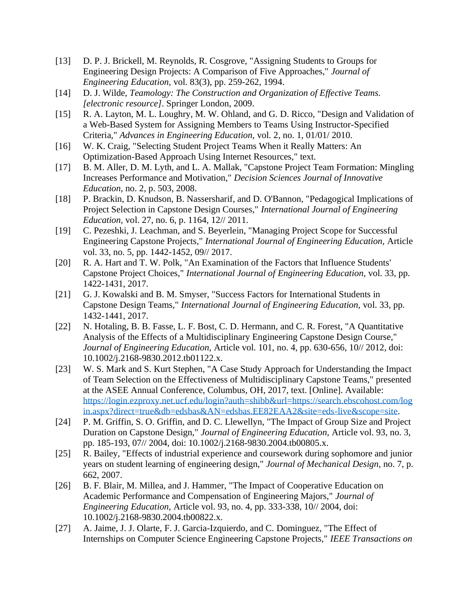- [13] D. P. J. Brickell, M. Reynolds, R. Cosgrove, "Assigning Students to Groups for Engineering Design Projects: A Comparison of Five Approaches," *Journal of Engineering Education,* vol. 83(3), pp. 259-262, 1994.
- [14] D. J. Wilde, *Teamology: The Construction and Organization of Effective Teams. [electronic resource]*. Springer London, 2009.
- [15] R. A. Layton, M. L. Loughry, M. W. Ohland, and G. D. Ricco, "Design and Validation of a Web-Based System for Assigning Members to Teams Using Instructor-Specified Criteria," *Advances in Engineering Education,* vol. 2, no. 1, 01/01/ 2010.
- [16] W. K. Craig, "Selecting Student Project Teams When it Really Matters: An Optimization-Based Approach Using Internet Resources," text.
- [17] B. M. Aller, D. M. Lyth, and L. A. Mallak, "Capstone Project Team Formation: Mingling Increases Performance and Motivation," *Decision Sciences Journal of Innovative Education,* no. 2, p. 503, 2008.
- [18] P. Brackin, D. Knudson, B. Nassersharif, and D. O'Bannon, "Pedagogical Implications of Project Selection in Capstone Design Courses," *International Journal of Engineering Education,* vol. 27, no. 6, p. 1164, 12// 2011.
- [19] C. Pezeshki, J. Leachman, and S. Beyerlein, "Managing Project Scope for Successful Engineering Capstone Projects," *International Journal of Engineering Education,* Article vol. 33, no. 5, pp. 1442-1452, 09// 2017.
- [20] R. A. Hart and T. W. Polk, "An Examination of the Factors that Influence Students' Capstone Project Choices," *International Journal of Engineering Education,* vol. 33, pp. 1422-1431, 2017.
- [21] G. J. Kowalski and B. M. Smyser, "Success Factors for International Students in Capstone Design Teams," *International Journal of Engineering Education,* vol. 33, pp. 1432-1441, 2017.
- [22] N. Hotaling, B. B. Fasse, L. F. Bost, C. D. Hermann, and C. R. Forest, "A Quantitative Analysis of the Effects of a Multidisciplinary Engineering Capstone Design Course," *Journal of Engineering Education,* Article vol. 101, no. 4, pp. 630-656, 10// 2012, doi: 10.1002/j.2168-9830.2012.tb01122.x.
- [23] W. S. Mark and S. Kurt Stephen, "A Case Study Approach for Understanding the Impact of Team Selection on the Effectiveness of Multidisciplinary Capstone Teams," presented at the ASEE Annual Conference, Columbus, OH, 2017, text. [Online]. Available: [https://login.ezproxy.net.ucf.edu/login?auth=shibb&url=https://search.ebscohost.com/log](https://login.ezproxy.net.ucf.edu/login?auth=shibb&url=https://search.ebscohost.com/login.aspx?direct=true&db=edsbas&AN=edsbas.EE82EAA2&site=eds-live&scope=site) [in.aspx?direct=true&db=edsbas&AN=edsbas.EE82EAA2&site=eds-live&scope=site.](https://login.ezproxy.net.ucf.edu/login?auth=shibb&url=https://search.ebscohost.com/login.aspx?direct=true&db=edsbas&AN=edsbas.EE82EAA2&site=eds-live&scope=site)
- [24] P. M. Griffin, S. O. Griffin, and D. C. Llewellyn, "The Impact of Group Size and Project Duration on Capstone Design," *Journal of Engineering Education,* Article vol. 93, no. 3, pp. 185-193, 07// 2004, doi: 10.1002/j.2168-9830.2004.tb00805.x.
- [25] R. Bailey, "Effects of industrial experience and coursework during sophomore and junior years on student learning of engineering design," *Journal of Mechanical Design,* no. 7, p. 662, 2007.
- [26] B. F. Blair, M. Millea, and J. Hammer, "The Impact of Cooperative Education on Academic Performance and Compensation of Engineering Majors," *Journal of Engineering Education,* Article vol. 93, no. 4, pp. 333-338, 10// 2004, doi: 10.1002/j.2168-9830.2004.tb00822.x.
- [27] A. Jaime, J. J. Olarte, F. J. Garcia-Izquierdo, and C. Dominguez, "The Effect of Internships on Computer Science Engineering Capstone Projects," *IEEE Transactions on*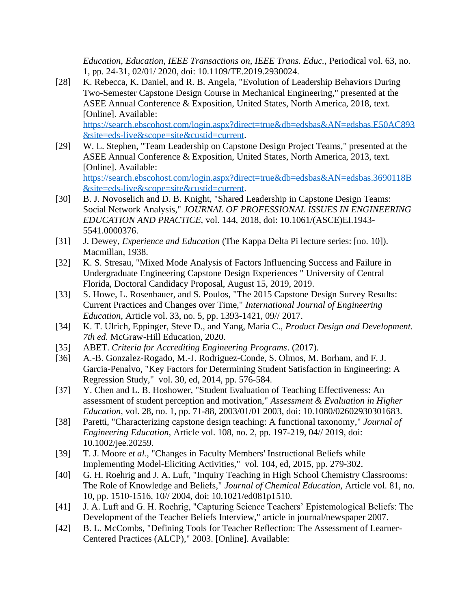*Education, Education, IEEE Transactions on, IEEE Trans. Educ.,* Periodical vol. 63, no. 1, pp. 24-31, 02/01/ 2020, doi: 10.1109/TE.2019.2930024.

[28] K. Rebecca, K. Daniel, and R. B. Angela, "Evolution of Leadership Behaviors During Two-Semester Capstone Design Course in Mechanical Engineering," presented at the ASEE Annual Conference & Exposition, United States, North America, 2018, text. [Online]. Available: [https://search.ebscohost.com/login.aspx?direct=true&db=edsbas&AN=edsbas.E50AC893](https://search.ebscohost.com/login.aspx?direct=true&db=edsbas&AN=edsbas.E50AC893&site=eds-live&scope=site&custid=current)

[&site=eds-live&scope=site&custid=current.](https://search.ebscohost.com/login.aspx?direct=true&db=edsbas&AN=edsbas.E50AC893&site=eds-live&scope=site&custid=current) [29] W. L. Stephen, "Team Leadership on Capstone Design Project Teams," presented at the ASEE Annual Conference & Exposition, United States, North America, 2013, text. [Online]. Available: [https://search.ebscohost.com/login.aspx?direct=true&db=edsbas&AN=edsbas.3690118B](https://search.ebscohost.com/login.aspx?direct=true&db=edsbas&AN=edsbas.3690118B&site=eds-live&scope=site&custid=current)

[&site=eds-live&scope=site&custid=current.](https://search.ebscohost.com/login.aspx?direct=true&db=edsbas&AN=edsbas.3690118B&site=eds-live&scope=site&custid=current)

- [30] B. J. Novoselich and D. B. Knight, "Shared Leadership in Capstone Design Teams: Social Network Analysis," *JOURNAL OF PROFESSIONAL ISSUES IN ENGINEERING EDUCATION AND PRACTICE,* vol. 144, 2018, doi: 10.1061/(ASCE)EI.1943- 5541.0000376.
- [31] J. Dewey, *Experience and Education* (The Kappa Delta Pi lecture series: [no. 10]). Macmillan, 1938.
- [32] K. S. Stresau, "Mixed Mode Analysis of Factors Influencing Success and Failure in Undergraduate Engineering Capstone Design Experiences " University of Central Florida, Doctoral Candidacy Proposal, August 15, 2019, 2019.
- [33] S. Howe, L. Rosenbauer, and S. Poulos, "The 2015 Capstone Design Survey Results: Current Practices and Changes over Time," *International Journal of Engineering Education,* Article vol. 33, no. 5, pp. 1393-1421, 09// 2017.
- [34] K. T. Ulrich, Eppinger, Steve D., and Yang, Maria C., *Product Design and Development. 7th ed.* McGraw-Hill Education, 2020.
- [35] ABET. *Criteria for Accrediting Engineering Programs*. (2017).
- [36] A.-B. Gonzalez-Rogado, M.-J. Rodriguez-Conde, S. Olmos, M. Borham, and F. J. Garcia-Penalvo, "Key Factors for Determining Student Satisfaction in Engineering: A Regression Study," vol. 30, ed, 2014, pp. 576-584.
- [37] Y. Chen and L. B. Hoshower, "Student Evaluation of Teaching Effectiveness: An assessment of student perception and motivation," *Assessment & Evaluation in Higher Education,* vol. 28, no. 1, pp. 71-88, 2003/01/01 2003, doi: 10.1080/02602930301683.
- [38] Paretti, "Characterizing capstone design teaching: A functional taxonomy," *Journal of Engineering Education,* Article vol. 108, no. 2, pp. 197-219, 04// 2019, doi: 10.1002/jee.20259.
- [39] T. J. Moore *et al.*, "Changes in Faculty Members' Instructional Beliefs while Implementing Model-Eliciting Activities," vol. 104, ed, 2015, pp. 279-302.
- [40] G. H. Roehrig and J. A. Luft, "Inquiry Teaching in High School Chemistry Classrooms: The Role of Knowledge and Beliefs," *Journal of Chemical Education,* Article vol. 81, no. 10, pp. 1510-1516, 10// 2004, doi: 10.1021/ed081p1510.
- [41] J. A. Luft and G. H. Roehrig, "Capturing Science Teachers' Epistemological Beliefs: The Development of the Teacher Beliefs Interview," article in journal/newspaper 2007.
- [42] B. L. McCombs, "Defining Tools for Teacher Reflection: The Assessment of Learner-Centered Practices (ALCP)," 2003. [Online]. Available: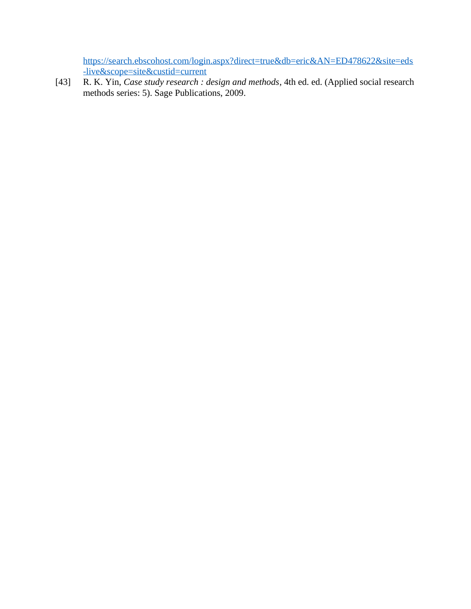[https://search.ebscohost.com/login.aspx?direct=true&db=eric&AN=ED478622&site=eds](https://search.ebscohost.com/login.aspx?direct=true&db=eric&AN=ED478622&site=eds-live&scope=site&custid=current) [-live&scope=site&custid=current](https://search.ebscohost.com/login.aspx?direct=true&db=eric&AN=ED478622&site=eds-live&scope=site&custid=current)

[43] R. K. Yin, *Case study research : design and methods*, 4th ed. ed. (Applied social research methods series: 5). Sage Publications, 2009.